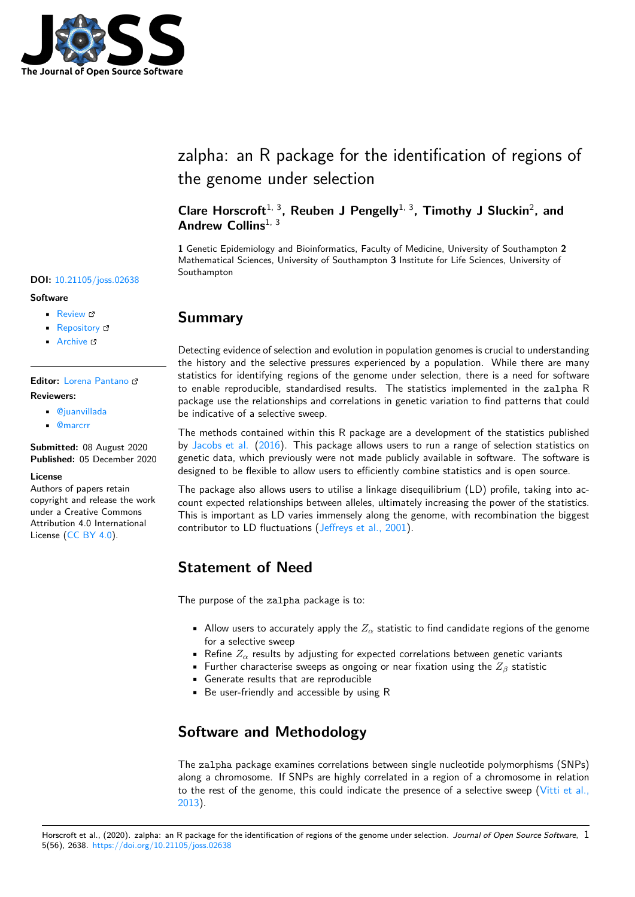

# zalpha: an R package for the identification of regions of the genome under selection

### **Clare Horscroft**1, 3**, Reuben J Pengelly**1, 3**, Timothy J Sluckin**<sup>2</sup> **, and** Andrew Collins<sup>1, 3</sup>

**1** Genetic Epidemiology and Bioinformatics, Faculty of Medicine, University of Southampton **2** Mathematical Sciences, University of Southampton **3** Institute for Life Sciences, University of Southampton

### **Summary**

Detecting evidence of selection and evolution in population genomes is crucial to understanding the history and the selective pressures experienced by a population. While there are many statistics for identifying regions of the genome under selection, there is a need for software to enable reproducible, standardised results. The statistics implemented in the zalpha R package use the relationships and correlations in genetic variation to find patterns that could be indicative of a selective sweep.

The methods contained within this R package are a development of the statistics published by Jacobs et al. (2016). This package allows users to run a range of selection statistics on genetic data, which previously were not made publicly available in software. The software is designed to be flexible to allow users to efficiently combine statistics and is open source.

The package also allows users to utilise a linkage disequilibrium (LD) profile, taking into acco[unt expected r](#page-3-0)el[ation](#page-3-0)ships between alleles, ultimately increasing the power of the statistics. This is important as LD varies immensely along the genome, with recombination the biggest contributor to LD fluctuations (Jeffreys et al., 2001).

# **Statement of Need**

The purpose of the zalpha package is to:

- Allow users to accurately apply the  $Z_\alpha$  statistic to find candidate regions of the genome for a selective sweep
- Refine  $Z_\alpha$  results by adjusting for expected correlations between genetic variants
- Further characterise sweeps as ongoing or near fixation using the *Z<sup>β</sup>* statistic
- Generate results that are reproducible
- Be user-friendly and accessible by using R

# **Software and Methodology**

The zalpha package examines correlations between single nucleotide polymorphisms (SNPs) along a chromosome. If SNPs are highly correlated in a region of a chromosome in relation to the rest of the genome, this could indicate the presence of a selective sweep (Vitti et al., 2013).

### **DOI:** 10.21105/joss.02638

#### **Software**

- Review L'
- [Repository](https://doi.org/10.21105/joss.02638) C
- Archive

#### **Editor:** [Lorena P](https://github.com/chorscroft/zalpha)antano **Revie[wers:](https://doi.org/10.5281/zenodo.4301636)**

- @juanvillada
- @[marcrr](https://lpantano.github.io/)

**Submitted:** 08 August 2020 **Published:** [05 Dec](https://github.com/juanvillada)ember 2020

#### **Licen[se](https://github.com/marcrr)**

Authors of papers retain copyright and release the work under a Creative Commons Attribution 4.0 International License (CC BY 4.0).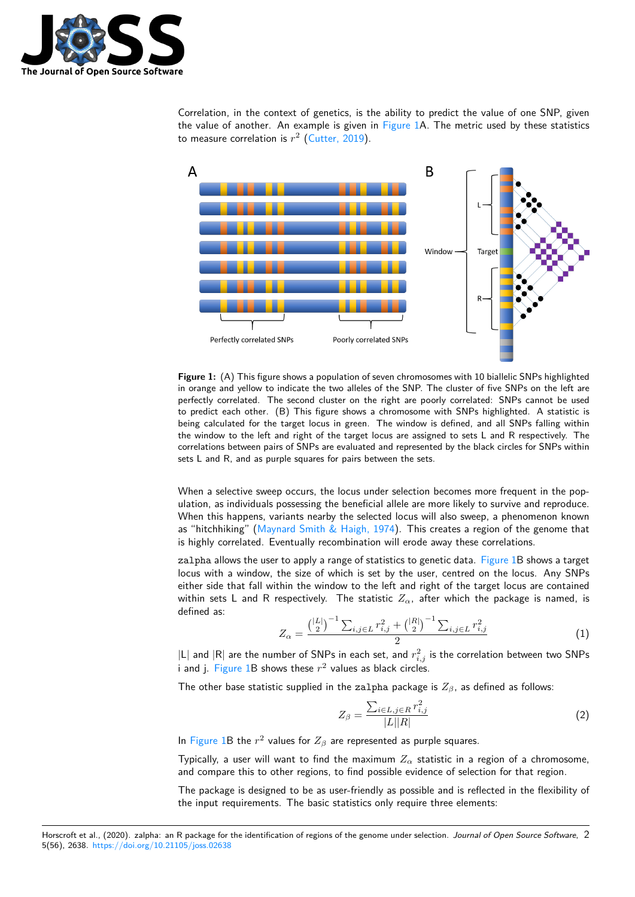

Correlation, in the context of genetics, is the ability to predict the value of one SNP, given the value of another. An example is given in Figure 1A. The metric used by these statistics to measure correlation is  $r^2$  (Cutter, 2019).

<span id="page-1-0"></span>

**Figure 1:** (A) This figure shows a population of seven chromosomes with 10 biallelic SNPs highlighted in orange and yellow to indicate the two alleles of the SNP. The cluster of five SNPs on the left are perfectly correlated. The second cluster on the right are poorly correlated: SNPs cannot be used to predict each other. (B) This figure shows a chromosome with SNPs highlighted. A statistic is being calculated for the target locus in green. The window is defined, and all SNPs falling within the window to the left and right of the target locus are assigned to sets L and R respectively. The correlations between pairs of SNPs are evaluated and represented by the black circles for SNPs within sets L and R, and as purple squares for pairs between the sets.

When a selective sweep occurs, the locus under selection becomes more frequent in the population, as individuals possessing the beneficial allele are more likely to survive and reproduce. When this happens, variants nearby the selected locus will also sweep, a phenomenon known as "hitchhiking" (Maynard Smith & Haigh, 1974). This creates a region of the genome that is highly correlated. Eventually recombination will erode away these correlations.

zalpha allows the user to apply a range of statistics to genetic data. Figure 1B shows a target locus with a window, the size of which is set by the user, centred on the locus. Any SNPs either side that f[all within the window to the left](#page-3-1) and right of the target locus are contained within sets L and R respectively. The statistic  $Z_{\alpha}$ , after which the package is named, is defined as:

$$
Z_{\alpha} = \frac{\left(\binom{|L|}{2}^{-1} \sum_{i,j \in L} r_{i,j}^{2} + \binom{|R|}{2}^{-1} \sum_{i,j \in L} r_{i,j}^{2}}{2} \tag{1}
$$

 $|\mathsf{L}|$  and  $|\mathsf{R}|$  are the number of SNPs in each set, and  $r_{i,j}^2$  is the correlation between two SNPs i and j. Figure  $1B$  shows these  $r^2$  values as black circles.

The other base statistic supplied in the zalpha package is *Zβ*, as defined as follows:

$$
Z_{\beta} = \frac{\sum_{i \in L, j \in R} r_{i,j}^2}{|L||R|} \tag{2}
$$

In Figure 1B the  $r^2$  values for  $Z_\beta$  are represented as purple squares.

Typically, a user will want to find the maximum *Z<sup>α</sup>* statistic in a region of a chromosome, and compare this to other regions, to find possible evidence of selection for that region.

T[he packag](#page-1-0)e is designed to be as user-friendly as possible and is reflected in the flexibility of the input requirements. The basic statistics only require three elements: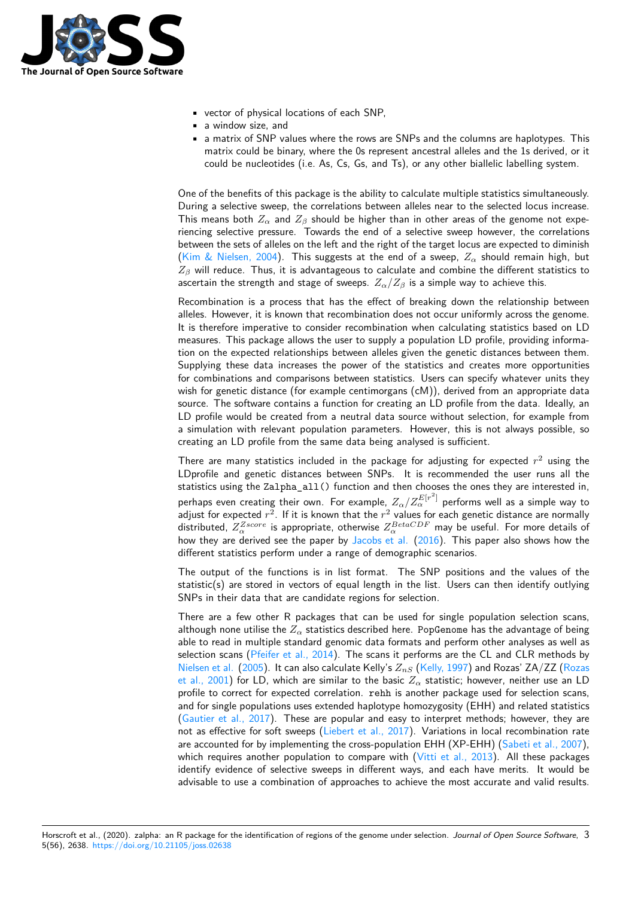

- vector of physical locations of each SNP,
- a window size, and
- a matrix of SNP values where the rows are SNPs and the columns are haplotypes. This matrix could be binary, where the 0s represent ancestral alleles and the 1s derived, or it could be nucleotides (i.e. As, Cs, Gs, and Ts), or any other biallelic labelling system.

One of the benefits of this package is the ability to calculate multiple statistics simultaneously. During a selective sweep, the correlations between alleles near to the selected locus increase. This means both  $Z_\alpha$  and  $Z_\beta$  should be higher than in other areas of the genome not experiencing selective pressure. Towards the end of a selective sweep however, the correlations between the sets of alleles on the left and the right of the target locus are expected to diminish (Kim & Nielsen, 2004). This suggests at the end of a sweep,  $Z_\alpha$  should remain high, but *Z<sup>β</sup>* will reduce. Thus, it is advantageous to calculate and combine the different statistics to ascertain the strength and stage of sweeps.  $Z_{\alpha}/Z_{\beta}$  is a simple way to achieve this.

Recombination is a process that has the effect of breaking down the relationship between [alleles. However, it is k](#page-3-2)nown that recombination does not occur uniformly across the genome. It is therefore imperative to consider recombination when calculating statistics based on LD measures. This package allows the user to supply a population LD profile, providing information on the expected relationships between alleles given the genetic distances between them. Supplying these data increases the power of the statistics and creates more opportunities for combinations and comparisons between statistics. Users can specify whatever units they wish for genetic distance (for example centimorgans (cM)), derived from an appropriate data source. The software contains a function for creating an LD profile from the data. Ideally, an LD profile would be created from a neutral data source without selection, for example from a simulation with relevant population parameters. However, this is not always possible, so creating an LD profile from the same data being analysed is sufficient.

There are many statistics included in the package for adjusting for expected *r* <sup>2</sup> using the LDprofile and genetic distances between SNPs. It is recommended the user runs all the statistics using the Zalpha\_all() function and then chooses the ones they are interested in, perhaps even creating their own. For example,  $Z_\alpha/Z_\alpha^{E[r^2]}$  performs well as a simple way to adjust for expected  $r^2$ . If it is known that the  $r^2$  values for each genetic distance are normally distributed,  $Z_\alpha^{Zscore}$  is appropriate, otherwise  $Z_\alpha^{BetaCDF}$  may be useful. For more details of how they are derived see the paper by Jacobs et al. (2016). This paper also shows how the different statistics perform under a range of demographic scenarios.

The output of the functions is in list format. The SNP positions and the values of the statistic(s) are stored in vectors of equal length in the list. Users can then identify outlying SNPs in their data that are candidate [regions for sel](#page-3-0)e[ction.](#page-3-0)

There are a few other R packages that can be used for single population selection scans, although none utilise the  $Z_{\alpha}$  statistics described here. PopGenome has the advantage of being able to read in multiple standard genomic data formats and perform other analyses as well as selection scans (Pfeifer et al., 2014). The scans it performs are the CL and CLR methods by Nielsen et al. (2005). It can also calculate Kelly's  $Z_{nS}$  (Kelly, 1997) and Rozas' ZA/ZZ (Rozas et al., 2001) for LD, which are similar to the basic *Z<sup>α</sup>* statistic; however, neither use an LD profile to correct for expected correlation. rehh is another package used for selection scans, and for single p[opulations uses exten](#page-3-3)ded haplotype homozygosity (EHH) and related statistics [\(Gautier et a](#page-3-4)l.[, 201](#page-3-4)7). These are popular and easy to [interpret m](#page-3-5)ethods; however, th[ey are](#page-3-6) [not as effec](#page-3-6)tive for soft sweeps (Liebert et al., 2017). Variations in local recombination rate are accounted for by implementing the cross-population EHH (XP-EHH) (Sabeti et al., 2007), which requires another population to compare with  $(V<sub>itti</sub> et al., 2013)$ . All these packages i[dentify evidence of](#page-3-7) selective sweeps in different ways, and each have merits. It would be advisable to use a combination [of approaches to ach](#page-3-8)ieve the most accurate and valid results.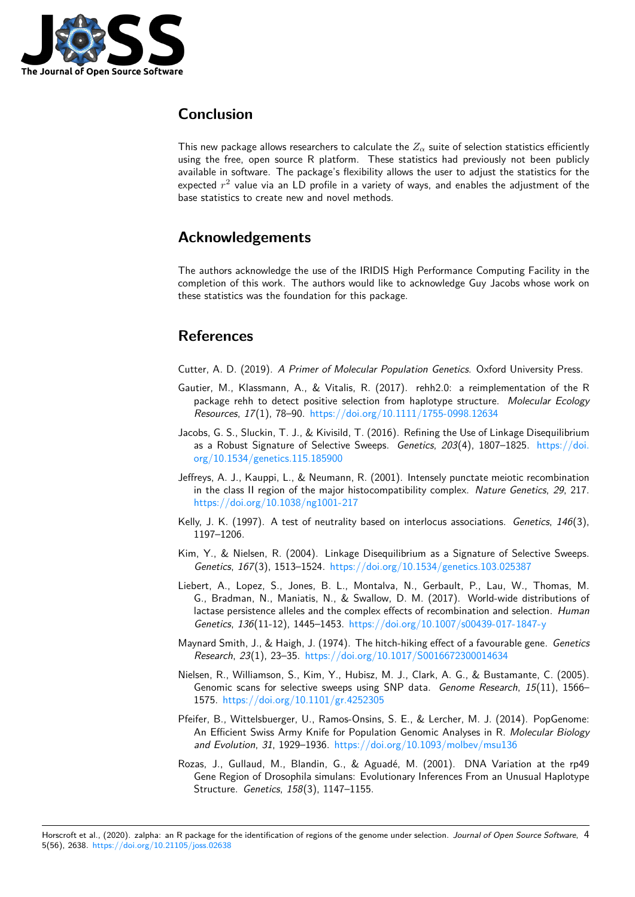

# **Conclusion**

This new package allows researchers to calculate the  $Z_\alpha$  suite of selection statistics efficiently using the free, open source R platform. These statistics had previously not been publicly available in software. The package's flexibility allows the user to adjust the statistics for the expected  $r^2$  value via an LD profile in a variety of ways, and enables the adjustment of the base statistics to create new and novel methods.

# **Acknowledgements**

The authors acknowledge the use of the IRIDIS High Performance Computing Facility in the completion of this work. The authors would like to acknowledge Guy Jacobs whose work on these statistics was the foundation for this package.

# **References**

Cutter, A. D. (2019). *A Primer of Molecular Population Genetics*. Oxford University Press.

- Gautier, M., Klassmann, A., & Vitalis, R. (2017). rehh2.0: a reimplementation of the R package rehh to detect positive selection from haplotype structure. *Molecular Ecology Resources*, *17*(1), 78–90. https://doi.org/10.1111/1755-0998.12634
- <span id="page-3-7"></span>Jacobs, G. S., Sluckin, T. J., & Kivisild, T. (2016). Refining the Use of Linkage Disequilibrium as a Robust Signature of Selective Sweeps. *Genetics*, *203*(4), 1807–1825. https://doi. org/10.1534/genetics.115.185900
- <span id="page-3-0"></span>Jeffreys, A. J., Kauppi, L., & [Neumann, R. \(2001\). Intensely punctate m](https://doi.org/10.1111/1755-0998.12634)eiotic recombination in the class II region of the major histocompatibility complex. *Nature Genetics*, *29*[, 217.](https://doi.org/10.1534/genetics.115.185900) [https://doi.org/10.1038/ng1001-2](https://doi.org/10.1534/genetics.115.185900)17
- Kelly, J. K. (1997). A test of neutrality based on interlocus associations. *Genetics*, *146*(3), 1197–1206.
- Ki[m, Y., & Nielsen, R. \(2004\). Linkage](https://doi.org/10.1038/ng1001-217) Disequilibrium as a Signature of Selective Sweeps. *Genetics*, *167*(3), 1513–1524. https://doi.org/10.1534/genetics.103.025387
- <span id="page-3-5"></span>Liebert, A., Lopez, S., Jones, B. L., Montalva, N., Gerbault, P., Lau, W., Thomas, M. G., Bradman, N., Maniatis, N., & Swallow, D. M. (2017). World-wide distributions of lactase persistence alleles and the complex effects of recombination and selection. *Human Genetics*, *136*(11-12), 1445–1453. [https://doi.org/10.1007/s00439-017-184](https://doi.org/10.1534/genetics.103.025387)7-y
- <span id="page-3-8"></span><span id="page-3-2"></span>Maynard Smith, J., & Haigh, J. (1974). The hitch-hiking effect of a favourable gene. *Genetics Research*, *23*(1), 23–35. https://doi.org/10.1017/S0016672300014634
- Nielsen, R., Williamson, S., Kim, Y., [Hubisz, M. J., Clark, A. G., & Bustamante, C](https://doi.org/10.1007/s00439-017-1847-y). (2005). Genomic scans for selective sweeps using SNP data. *Genome Research*, *15*(11), 1566– 1575. https://doi.org/1[0.1101/gr.4252305](https://doi.org/10.1017/S0016672300014634)
- <span id="page-3-4"></span><span id="page-3-1"></span>Pfeifer, B., Wittelsbuerger, U., Ramos-Onsins, S. E., & Lercher, M. J. (2014). PopGenome: An Efficient Swiss Army Knife for Population Genomic Analyses in R. *Molecular Biology and Evolution*, *31*[, 1929–1936.](https://doi.org/10.1101/gr.4252305) https://doi.org/10.1093/molbev/msu136
- <span id="page-3-6"></span><span id="page-3-3"></span>Rozas, J., Gullaud, M., Blandin, G., & Aguadé, M. (2001). DNA Variation at the rp49 Gene Region of Drosophila simulans: Evolutionary Inferences From an Unusual Haplotype Structure. *Genetics*, *158*(3), 11[47–1155.](https://doi.org/10.1093/molbev/msu136)

Horscroft et al., (2020). zalpha: an R package for the identification of regions of the genome under selection. *Journal of Open Source Software*, 45(56), 2638. https://doi.org/10.21105/joss.02638